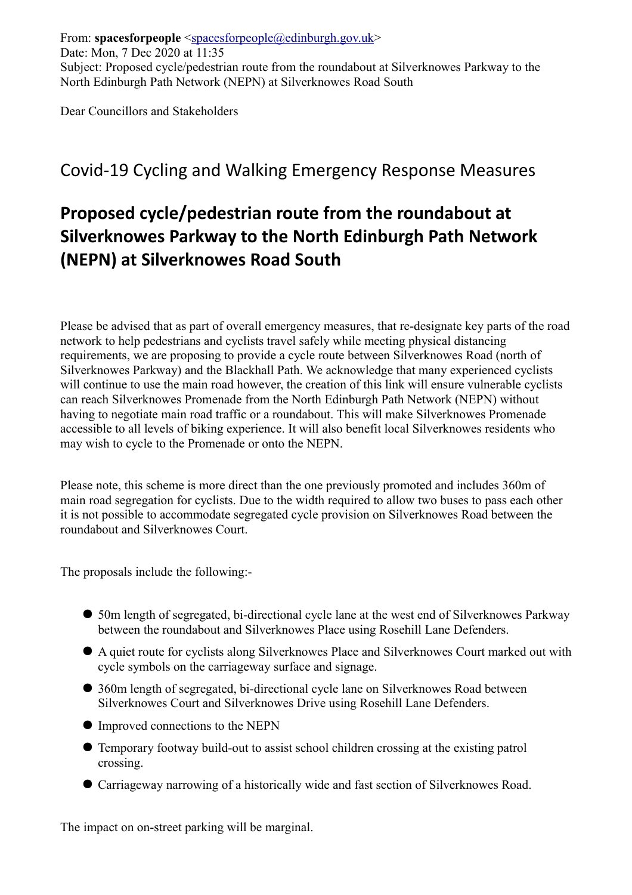From: **spacesforpeople** [<spacesforpeople@edinburgh.gov.uk>](mailto:spacesforpeople@edinburgh.gov.uk) Date: Mon, 7 Dec 2020 at 11:35 Subject: Proposed cycle/pedestrian route from the roundabout at Silverknowes Parkway to the North Edinburgh Path Network (NEPN) at Silverknowes Road South

Dear Councillors and Stakeholders

## Covid-19 Cycling and Walking Emergency Response Measures

## **Proposed cycle/pedestrian route from the roundabout at Silverknowes Parkway to the North Edinburgh Path Network (NEPN) at Silverknowes Road South**

Please be advised that as part of overall emergency measures, that re-designate key parts of the road network to help pedestrians and cyclists travel safely while meeting physical distancing requirements, we are proposing to provide a cycle route between Silverknowes Road (north of Silverknowes Parkway) and the Blackhall Path. We acknowledge that many experienced cyclists will continue to use the main road however, the creation of this link will ensure vulnerable cyclists can reach Silverknowes Promenade from the North Edinburgh Path Network (NEPN) without having to negotiate main road traffic or a roundabout. This will make Silverknowes Promenade accessible to all levels of biking experience. It will also benefit local Silverknowes residents who may wish to cycle to the Promenade or onto the NEPN.

Please note, this scheme is more direct than the one previously promoted and includes 360m of main road segregation for cyclists. Due to the width required to allow two buses to pass each other it is not possible to accommodate segregated cycle provision on Silverknowes Road between the roundabout and Silverknowes Court.

The proposals include the following:-

- 50m length of segregated, bi-directional cycle lane at the west end of Silverknowes Parkway between the roundabout and Silverknowes Place using Rosehill Lane Defenders.
- A quiet route for cyclists along Silverknowes Place and Silverknowes Court marked out with cycle symbols on the carriageway surface and signage.
- 360m length of segregated, bi-directional cycle lane on Silverknowes Road between Silverknowes Court and Silverknowes Drive using Rosehill Lane Defenders.
- Improved connections to the NEPN
- Temporary footway build-out to assist school children crossing at the existing patrol crossing.
- Carriageway narrowing of a historically wide and fast section of Silverknowes Road.

The impact on on-street parking will be marginal.